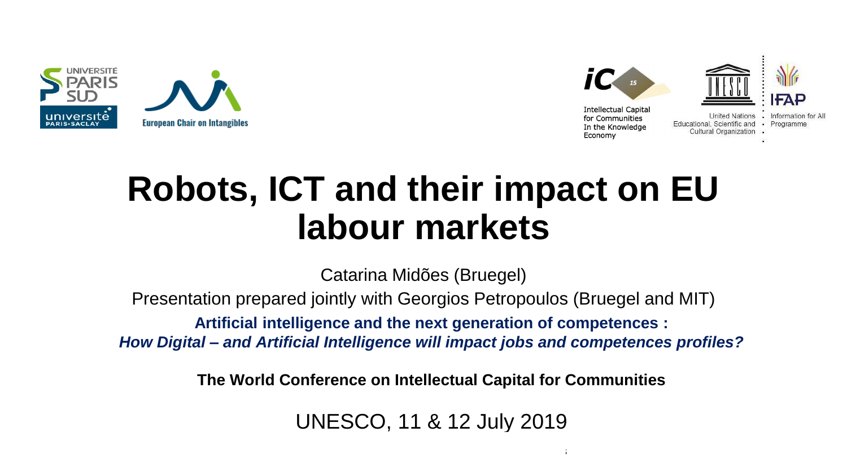



## **Robots, ICT and their impact on EU labour markets**

Catarina Midões (Bruegel)

Presentation prepared jointly with Georgios Petropoulos (Bruegel and MIT)

**Artificial intelligence and the next generation of competences :**

*How Digital – and Artificial Intelligence will impact jobs and competences profiles?*

**The World Conference on Intellectual Capital for Communities**

UNESCO, 11 & 12 July 2019

 $11.12 \pm 0.12$  July 2019 The World Conference on Intellectual Capital for Communities on Intellectual for Communities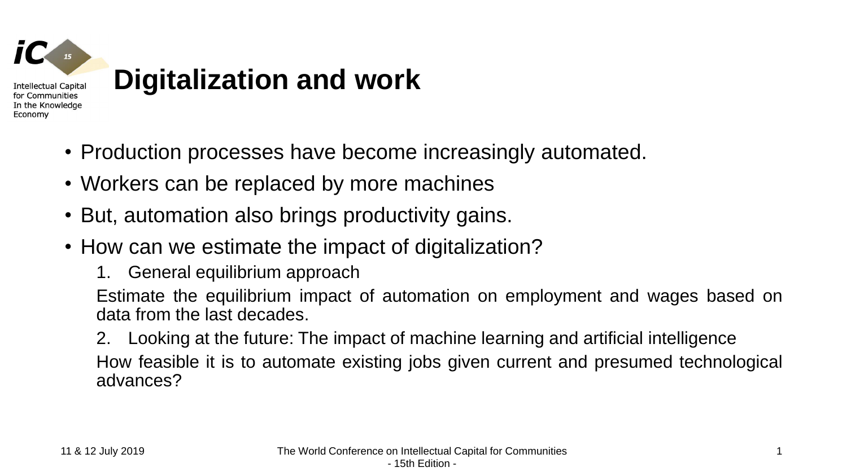

- Production processes have become increasingly automated.
- Workers can be replaced by more machines
- But, automation also brings productivity gains.
- How can we estimate the impact of digitalization?
	- 1. General equilibrium approach

Estimate the equilibrium impact of automation on employment and wages based on data from the last decades.

2. Looking at the future: The impact of machine learning and artificial intelligence How feasible it is to automate existing jobs given current and presumed technological advances?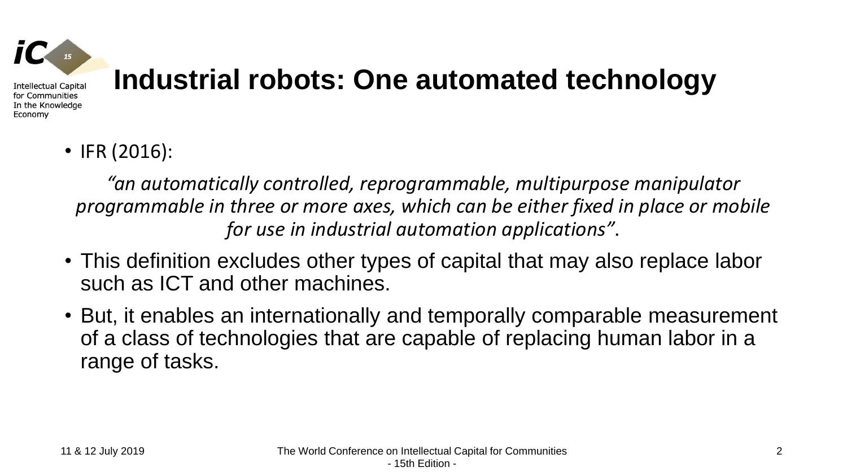

Economy

# **Industrial robots: One automated technology**

• IFR (2016):

*"an automatically controlled, reprogrammable, multipurpose manipulator programmable in three or more axes, which can be either fixed in place or mobile for use in industrial automation applications"*.

- This definition excludes other types of capital that may also replace labor such as ICT and other machines.
- But, it enables an internationally and temporally comparable measurement of a class of technologies that are capable of replacing human labor in a range of tasks.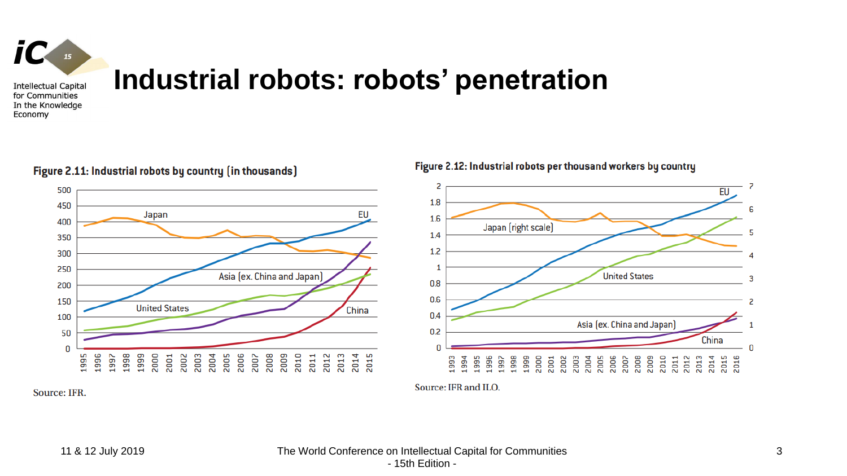

Economy

### **Industrial robots: robots' penetration**

EU Japan Asia (ex. China and Japan) **United States** China 

Figure 2.11: Industrial robots by country (in thousands)

Figure 2.12: Industrial robots per thousand workers by country



Source: IFR.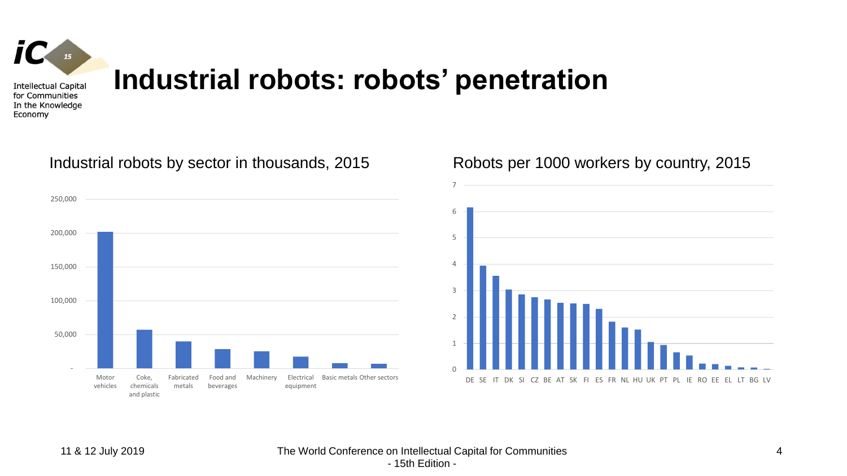

Economy

### **Industrial robots: robots' penetration**

### Industrial robots by sector in thousands, 2015 Robots per 1000 workers by country, 2015



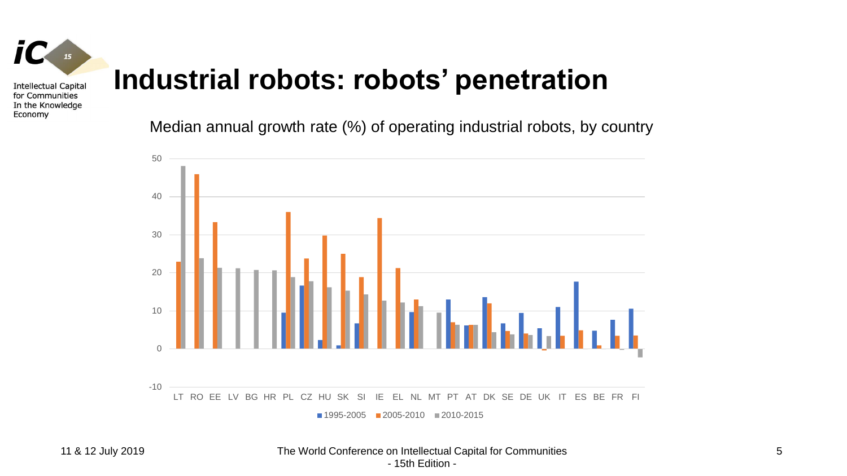

Economy

## **Industrial robots: robots' penetration**

Median annual growth rate (%) of operating industrial robots, by country

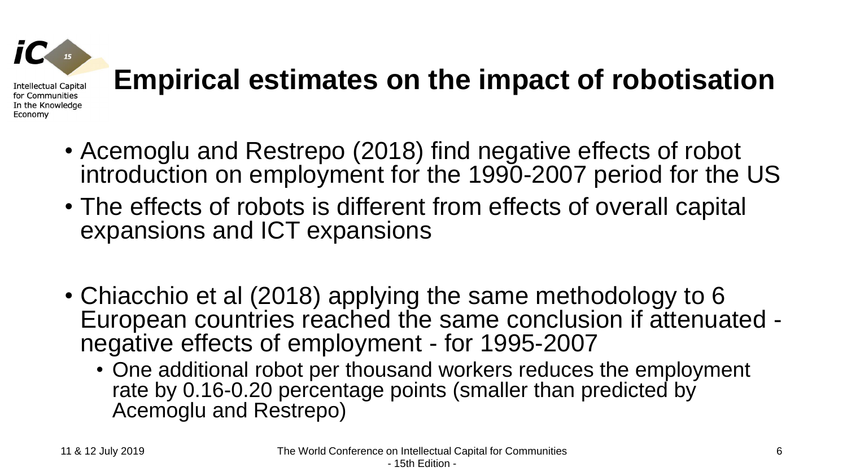# **Empirical estimates on the impact of robotisation**

- Acemoglu and Restrepo (2018) find negative effects of robot introduction on employment for the 1990-2007 period for the US
- The effects of robots is different from effects of overall capital expansions and ICT expansions
- Chiacchio et al (2018) applying the same methodology to 6 European countries reached the same conclusion if attenuated negative effects of employment - for 1995-2007
	- One additional robot per thousand workers reduces the employment rate by 0.16-0.20 percentage points (smaller than predicted by Acemoglu and Restrepo)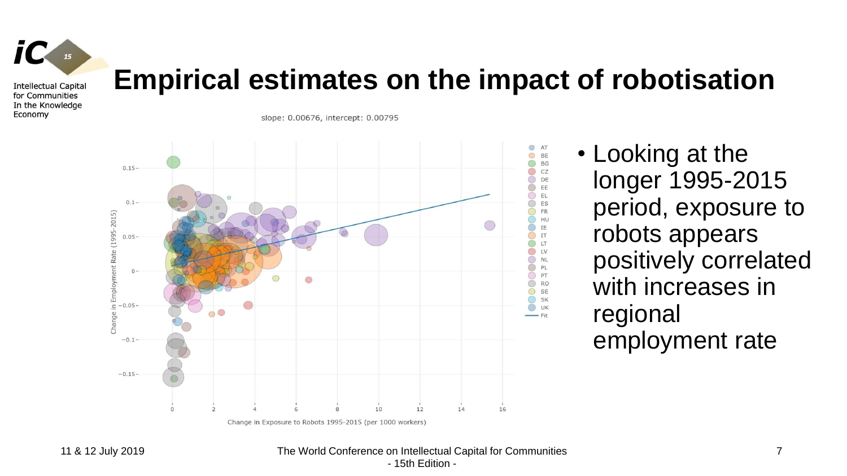

Economy

### **Empirical estimates on the impact of robotisation**

slope: 0.00676, intercept: 0.00795



• Looking at the longer 1995-2015 period, exposure to robots appears positively correlated with increases in regional employment rate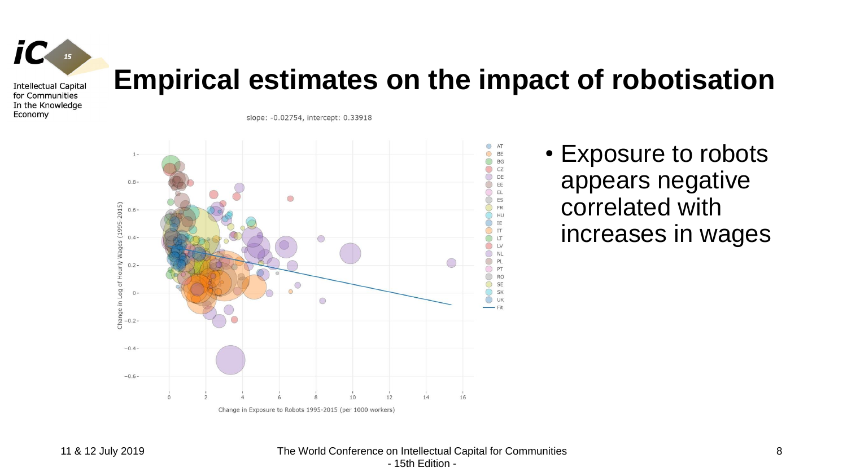

Economy

### **Empirical estimates on the impact of robotisation**

slope: -0.02754, intercept: 0.33918



• Exposure to robots appears negative correlated with increases in wages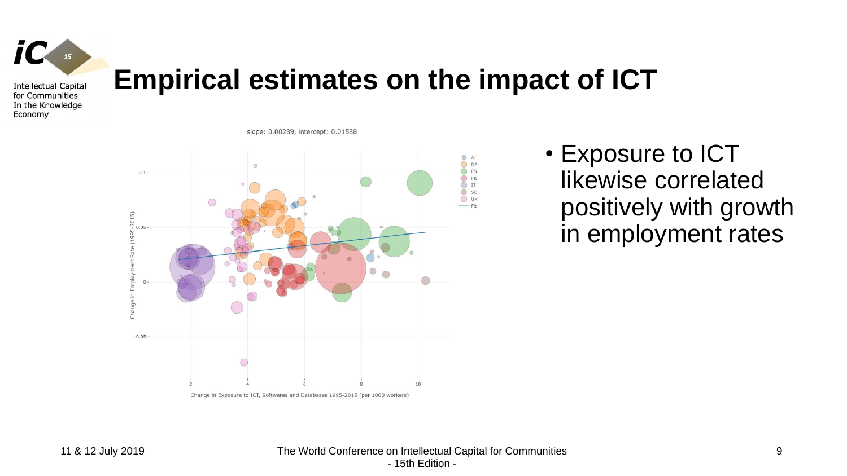

Economy

### **Empirical estimates on the impact of ICT**



slope: 0.00289, intercept: 0.01588

• Exposure to ICT likewise correlated positively with growth in employment rates

Change in Exposure to ICT, Softwares and Databases 1995-2015 (per 1000 workers)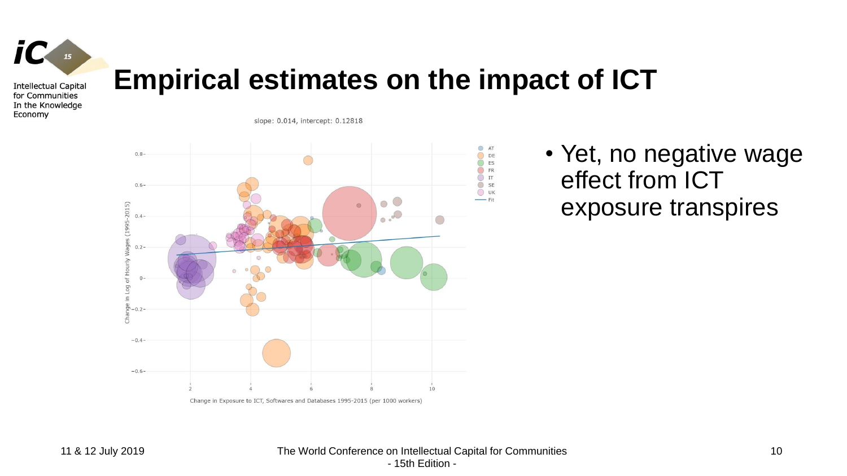

Economy

### **Empirical estimates on the impact of ICT**

slope: 0.014, intercept: 0.12818



• Yet, no negative wage effect from ICT exposure transpires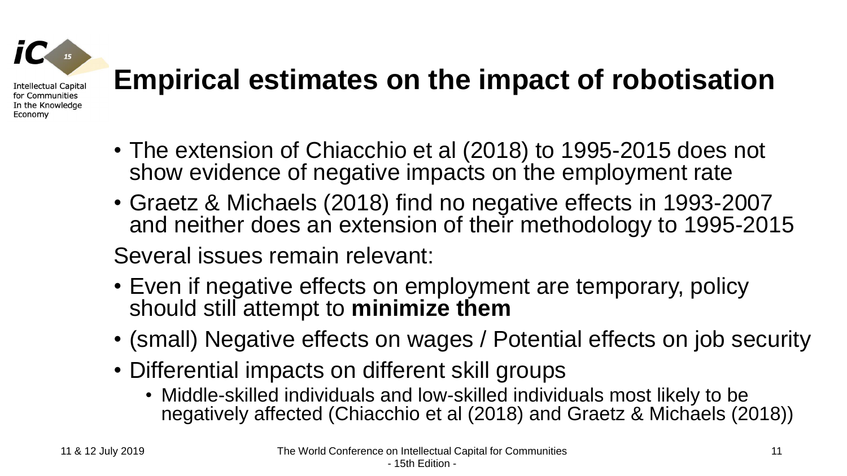

## **Empirical estimates on the impact of robotisation**

- The extension of Chiacchio et al (2018) to 1995-2015 does not show evidence of negative impacts on the employment rate
- Graetz & Michaels (2018) find no negative effects in 1993-2007 and neither does an extension of their methodology to 1995-2015

Several issues remain relevant:

- Even if negative effects on employment are temporary, policy should still attempt to **minimize them**
- (small) Negative effects on wages / Potential effects on job security
- Differential impacts on different skill groups
	- Middle-skilled individuals and low-skilled individuals most likely to be negatively affected (Chiacchio et al (2018) and Graetz & Michaels (2018))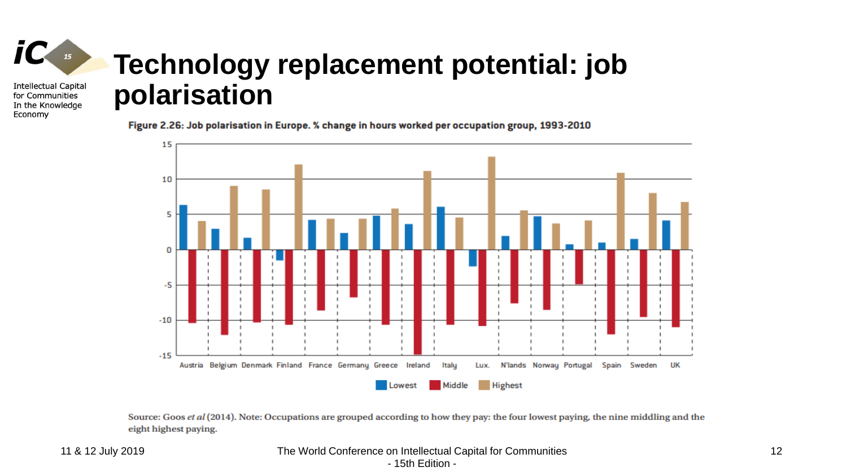### **Technology replacement potential: job Intellectual Capital polarisation**

Figure 2.26: Job polarisation in Europe. % change in hours worked per occupation group, 1993-2010



Source: Goos et al (2014). Note: Occupations are grouped according to how they pay: the four lowest paying, the nine middling and the eight highest paying.

 $IC_{15}$ 

for Communities In the Knowledge

Economy

11 & 12 July 2019 The World Conference on Intellectual Capital for Communities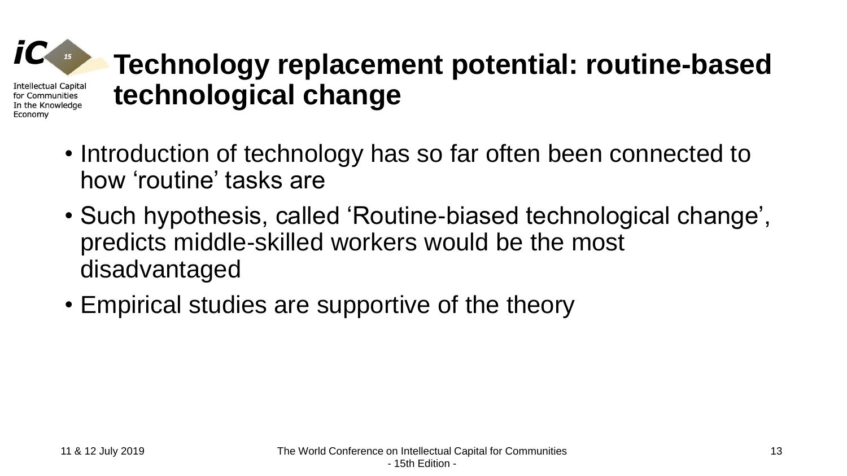# **Technology replacement potential: routine-based technological change**

- Introduction of technology has so far often been connected to how 'routine' tasks are
- Such hypothesis, called 'Routine-biased technological change', predicts middle-skilled workers would be the most disadvantaged
- Empirical studies are supportive of the theory

Intellectual Capital for Communities In the Knowledge

Economy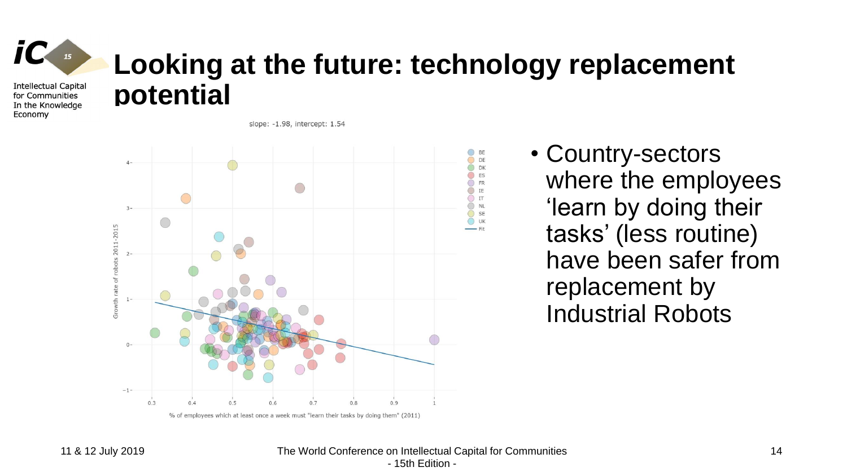

Economy

## **Looking at the future: technology replacement potential**

slope: -1.98, intercept: 1.54



• Country-sectors where the employees 'learn by doing their tasks' (less routine) have been safer from replacement by Industrial Robots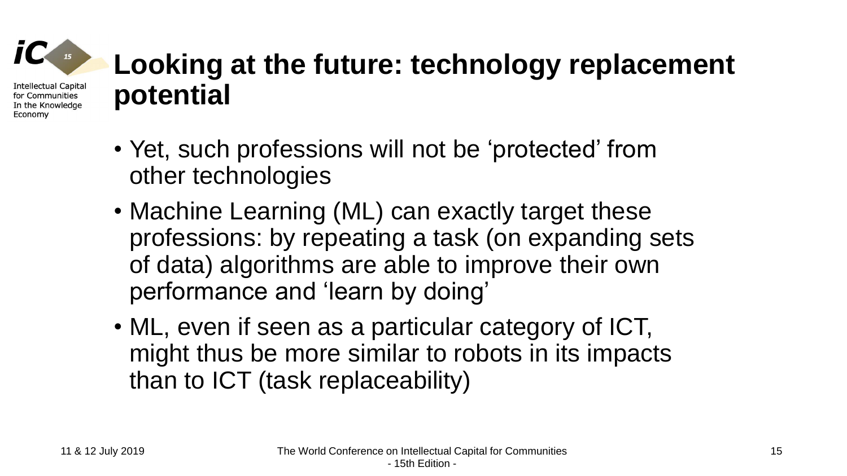## **Looking at the future: technology replacement potential**

- Yet, such professions will not be 'protected' from other technologies
- Machine Learning (ML) can exactly target these professions: by repeating a task (on expanding sets of data) algorithms are able to improve their own performance and 'learn by doing'
- ML, even if seen as a particular category of ICT, might thus be more similar to robots in its impacts than to ICT (task replaceability)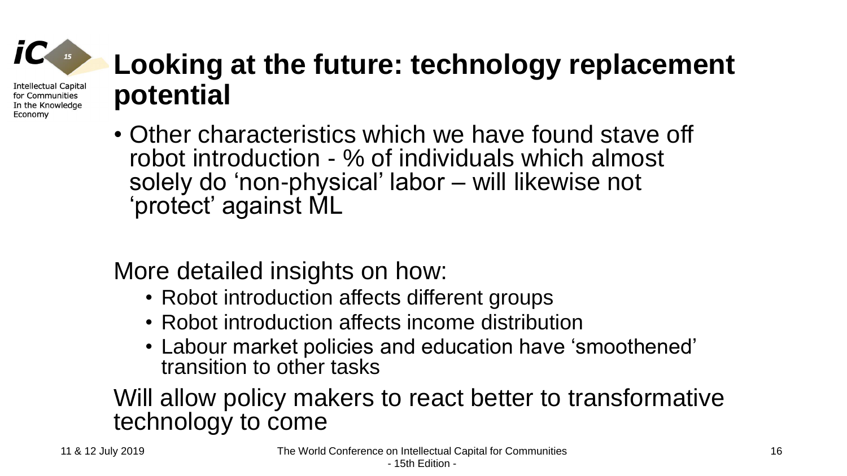### **Looking at the future: technology replacement potential**

• Other characteristics which we have found stave off robot introduction - % of individuals which almost solely do 'non-physical' labor – will likewise not 'protect' against ML

More detailed insights on how:

- Robot introduction affects different groups
- Robot introduction affects income distribution
- Labour market policies and education have 'smoothened' transition to other tasks

### Will allow policy makers to react better to transformative technology to come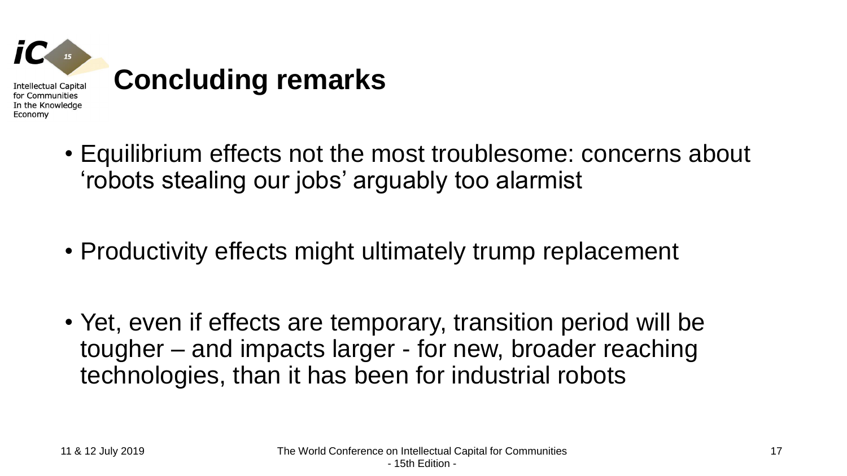

- Equilibrium effects not the most troublesome: concerns about 'robots stealing our jobs' arguably too alarmist
- Productivity effects might ultimately trump replacement
- Yet, even if effects are temporary, transition period will be tougher – and impacts larger - for new, broader reaching technologies, than it has been for industrial robots